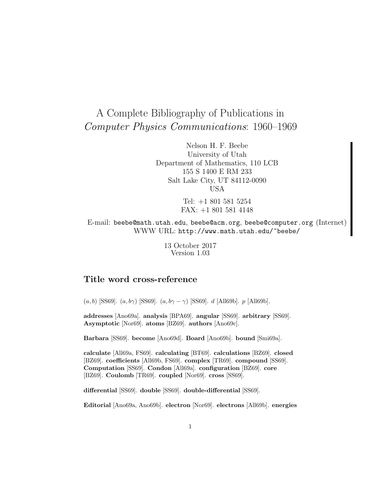# A Complete Bibliography of Publications in Computer Physics Communications: 1960–1969

Nelson H. F. Beebe University of Utah Department of Mathematics, 110 LCB 155 S 1400 E RM 233 Salt Lake City, UT 84112-0090 USA

> Tel: +1 801 581 5254 FAX: +1 801 581 4148

E-mail: beebe@math.utah.edu, beebe@acm.org, beebe@computer.org (Internet) WWW URL: http://www.math.utah.edu/~beebe/

> 13 October 2017 Version 1.03

# **Title word cross-reference**

(a, b) [SS69].  $(a, b\gamma)$  [SS69].  $(a, b\gamma - \gamma)$  [SS69]. d [All69b]. p [All69b].

**addresses** [Ano69a]. **analysis** [BPA69]. **angular** [SS69]. **arbitrary** [SS69]. **Asymptotic** [Nor69]. **atoms** [BZ69]. **authors** [Ano69c].

**Barbara** [SS69]. **become** [Ano69d]. **Board** [Ano69b]. **bound** [Smi69a].

**calculate** [All69a, FS69]. **calculating** [BT69]. **calculations** [BZ69]. **closed** [BZ69]. **coefficients** [All69b, FS69]. **complex** [TR69]. **compound** [SS69]. **Computation** [SS69]. **Condon** [All69a]. **configuration** [BZ69]. **core** [BZ69]. **Coulomb** [TR69]. **coupled** [Nor69]. **cross** [SS69].

**differential** [SS69]. **double** [SS69]. **double-differential** [SS69].

**Editorial** [Ano69a, Ano69b]. **electron** [Nor69]. **electrons** [All69b]. **energies**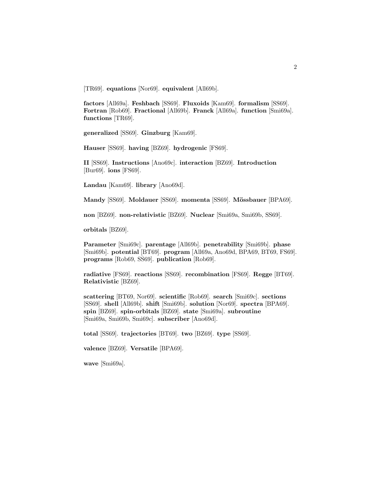[TR69]. **equations** [Nor69]. **equivalent** [All69b].

**factors** [All69a]. **Feshbach** [SS69]. **Fluxoids** [Kam69]. **formalism** [SS69]. **Fortran** [Rob69]. **Fractional** [All69b]. **Franck** [All69a]. **function** [Smi69a]. **functions** [TR69].

**generalized** [SS69]. **Ginzburg** [Kam69].

**Hauser** [SS69]. **having** [BZ69]. **hydrogenic** [FS69].

**II** [SS69]. **Instructions** [Ano69c]. **interaction** [BZ69]. **Introduction** [Bur69]. **ions** [FS69].

**Landau** [Kam69]. **library** [Ano69d].

**Mandy** [SS69]. **Moldauer** [SS69]. **momenta** [SS69]. **M¨ossbauer** [BPA69].

**non** [BZ69]. **non-relativistic** [BZ69]. **Nuclear** [Smi69a, Smi69b, SS69].

**orbitals** [BZ69].

**Parameter** [Smi69c]. **parentage** [All69b]. **penetrability** [Smi69b]. **phase** [Smi69b]. **potential** [BT69]. **program** [All69a, Ano69d, BPA69, BT69, FS69]. **programs** [Rob69, SS69]. **publication** [Rob69].

**radiative** [FS69]. **reactions** [SS69]. **recombination** [FS69]. **Regge** [BT69]. **Relativistic** [BZ69].

**scattering** [BT69, Nor69]. **scientific** [Rob69]. **search** [Smi69c]. **sections** [SS69]. **shell** [All69b]. **shift** [Smi69b]. **solution** [Nor69]. **spectra** [BPA69]. **spin** [BZ69]. **spin-orbitals** [BZ69]. **state** [Smi69a]. **subroutine** [Smi69a, Smi69b, Smi69c]. **subscriber** [Ano69d].

**total** [SS69]. **trajectories** [BT69]. **two** [BZ69]. **type** [SS69].

**valence** [BZ69]. **Versatile** [BPA69].

**wave** [Smi69a].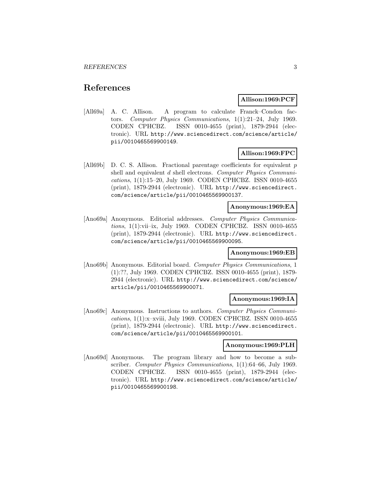## **References**

## **Allison:1969:PCF**

[All69a] A. C. Allison. A program to calculate Franck–Condon factors. Computer Physics Communications, 1(1):21–24, July 1969. CODEN CPHCBZ. ISSN 0010-4655 (print), 1879-2944 (electronic). URL http://www.sciencedirect.com/science/article/ pii/0010465569900149.

## **Allison:1969:FPC**

[All69b] D. C. S. Allison. Fractional parentage coefficients for equivalent p shell and equivalent d shell electrons. Computer Physics Communications, 1(1):15–20, July 1969. CODEN CPHCBZ. ISSN 0010-4655 (print), 1879-2944 (electronic). URL http://www.sciencedirect. com/science/article/pii/0010465569900137.

## **Anonymous:1969:EA**

[Ano69a] Anonymous. Editorial addresses. Computer Physics Communications, 1(1):vii–ix, July 1969. CODEN CPHCBZ. ISSN 0010-4655 (print), 1879-2944 (electronic). URL http://www.sciencedirect. com/science/article/pii/0010465569900095.

## **Anonymous:1969:EB**

[Ano69b] Anonymous. Editorial board. Computer Physics Communications, 1 (1):??, July 1969. CODEN CPHCBZ. ISSN 0010-4655 (print), 1879- 2944 (electronic). URL http://www.sciencedirect.com/science/ article/pii/0010465569900071.

#### **Anonymous:1969:IA**

[Ano69c] Anonymous. Instructions to authors. Computer Physics Communications, 1(1):x–xviii, July 1969. CODEN CPHCBZ. ISSN 0010-4655 (print), 1879-2944 (electronic). URL http://www.sciencedirect. com/science/article/pii/0010465569900101.

#### **Anonymous:1969:PLH**

[Ano69d] Anonymous. The program library and how to become a subscriber. Computer Physics Communications, 1(1):64–66, July 1969. CODEN CPHCBZ. ISSN 0010-4655 (print), 1879-2944 (electronic). URL http://www.sciencedirect.com/science/article/ pii/0010465569900198.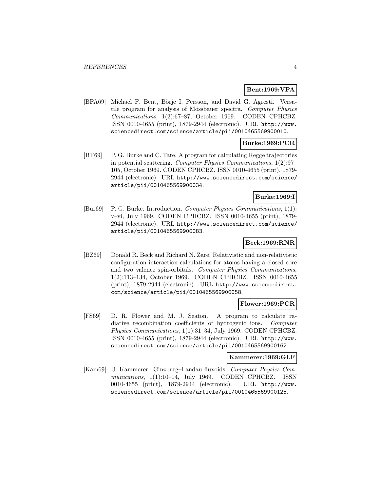## **Bent:1969:VPA**

[BPA69] Michael F. Bent, Börje I. Persson, and David G. Agresti. Versatile program for analysis of Mössbauer spectra. Computer Physics Communications, 1(2):67–87, October 1969. CODEN CPHCBZ. ISSN 0010-4655 (print), 1879-2944 (electronic). URL http://www. sciencedirect.com/science/article/pii/0010465569900010.

## **Burke:1969:PCR**

[BT69] P. G. Burke and C. Tate. A program for calculating Regge trajectories in potential scattering. Computer Physics Communications, 1(2):97– 105, October 1969. CODEN CPHCBZ. ISSN 0010-4655 (print), 1879- 2944 (electronic). URL http://www.sciencedirect.com/science/ article/pii/0010465569900034.

## **Burke:1969:I**

[Bur69] P. G. Burke. Introduction. Computer Physics Communications, 1(1): v–vi, July 1969. CODEN CPHCBZ. ISSN 0010-4655 (print), 1879- 2944 (electronic). URL http://www.sciencedirect.com/science/ article/pii/0010465569900083.

## **Beck:1969:RNR**

[BZ69] Donald R. Beck and Richard N. Zare. Relativistic and non-relativistic configuration interaction calculations for atoms having a closed core and two valence spin-orbitals. Computer Physics Communications, 1(2):113–134, October 1969. CODEN CPHCBZ. ISSN 0010-4655 (print), 1879-2944 (electronic). URL http://www.sciencedirect. com/science/article/pii/0010465569900058.

## **Flower:1969:PCR**

[FS69] D. R. Flower and M. J. Seaton. A program to calculate radiative recombination coefficients of hydrogenic ions. Computer Physics Communications, 1(1):31–34, July 1969. CODEN CPHCBZ. ISSN 0010-4655 (print), 1879-2944 (electronic). URL http://www. sciencedirect.com/science/article/pii/0010465569900162.

#### **Kammerer:1969:GLF**

[Kam69] U. Kammerer. Ginzburg–Landau fluxoids. Computer Physics Communications, 1(1):10–14, July 1969. CODEN CPHCBZ. ISSN 0010-4655 (print), 1879-2944 (electronic). URL http://www. sciencedirect.com/science/article/pii/0010465569900125.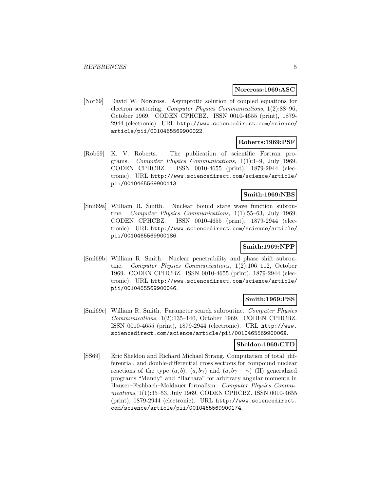#### **Norcross:1969:ASC**

[Nor69] David W. Norcross. Asymptotic solution of coupled equations for electron scattering. Computer Physics Communications, 1(2):88–96, October 1969. CODEN CPHCBZ. ISSN 0010-4655 (print), 1879- 2944 (electronic). URL http://www.sciencedirect.com/science/ article/pii/0010465569900022.

#### **Roberts:1969:PSF**

[Rob69] K. V. Roberts. The publication of scientific Fortran programs. Computer Physics Communications, 1(1):1–9, July 1969. CODEN CPHCBZ. ISSN 0010-4655 (print), 1879-2944 (electronic). URL http://www.sciencedirect.com/science/article/ pii/0010465569900113.

## **Smith:1969:NBS**

[Smi69a] William R. Smith. Nuclear bound state wave function subroutine. Computer Physics Communications, 1(1):55–63, July 1969. CODEN CPHCBZ. ISSN 0010-4655 (print), 1879-2944 (electronic). URL http://www.sciencedirect.com/science/article/ pii/0010465569900186.

## **Smith:1969:NPP**

[Smi69b] William R. Smith. Nuclear penetrability and phase shift subroutine. Computer Physics Communications, 1(2):106–112, October 1969. CODEN CPHCBZ. ISSN 0010-4655 (print), 1879-2944 (electronic). URL http://www.sciencedirect.com/science/article/ pii/0010465569900046.

## **Smith:1969:PSS**

[Smi69c] William R. Smith. Parameter search subroutine. Computer Physics Communications, 1(2):135–140, October 1969. CODEN CPHCBZ. ISSN 0010-4655 (print), 1879-2944 (electronic). URL http://www. sciencedirect.com/science/article/pii/001046556990006X.

## **Sheldon:1969:CTD**

[SS69] Eric Sheldon and Richard Michael Strang. Computation of total, differential, and double-differential cross sections for compound nuclear reactions of the type  $(a, b)$ ,  $(a, b\gamma)$  and  $(a, b\gamma - \gamma)$  (II) generalized programs "Mandy" and "Barbara" for arbitrary angular momenta in Hauser–Feshbach–Moldauer formalism. Computer Physics Communications, 1(1):35–53, July 1969. CODEN CPHCBZ. ISSN 0010-4655 (print), 1879-2944 (electronic). URL http://www.sciencedirect. com/science/article/pii/0010465569900174.